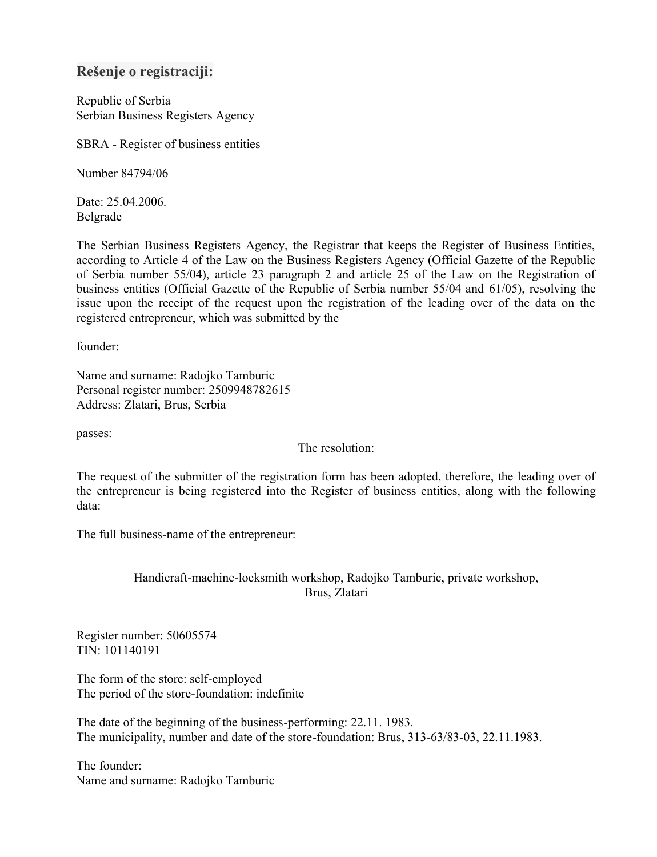# **Rešenje o registraciji:**

Republic of Serbia Serbian Business Registers Agency

SBRA - Register of business entities

Number 84794/06

Date: 25.04.2006. Belgrade

The Serbian Business Registers Agency, the Registrar that keeps the Register of Business Entities, according to Article 4 of the Law on the Business Registers Agency (Official Gazette of the Republic of Serbia number 55/04), article 23 paragraph 2 and article 25 of the Law on the Registration of business entities (Official Gazette of the Republic of Serbia number 55/04 and 61/05), resolving the issue upon the receipt of the request upon the registration of the leading over of the data on the registered entrepreneur, which was submitted by the

founder:

Name and surname: Radojko Tamburic Personal register number: 2509948782615 Address: Zlatari, Brus, Serbia

passes:

The resolution:

The request of the submitter of the registration form has been adopted, therefore, the leading over of the entrepreneur is being registered into the Register of business entities, along with the following data:

The full business-name of the entrepreneur:

## Handicraft-machine-locksmith workshop, Radojko Tamburic, private workshop, Brus, Zlatari

Register number: 50605574 TIN: 101140191

The form of the store: self-employed The period of the store-foundation: indefinite

The date of the beginning of the business-performing: 22.11. 1983. The municipality, number and date of the store-foundation: Brus, 313-63/83-03, 22.11.1983.

The founder: Name and surname: Radojko Tamburic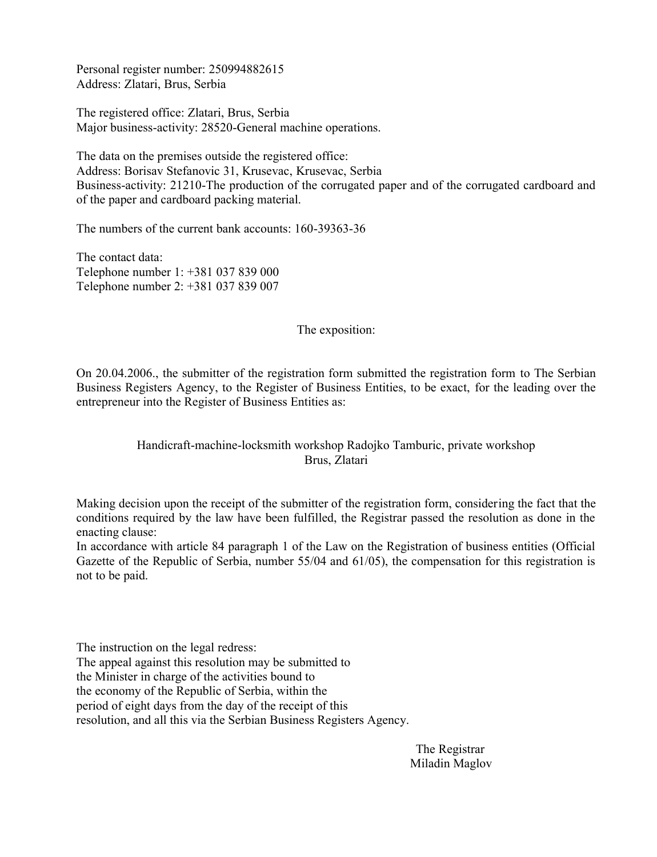Personal register number: 250994882615 Address: Zlatari, Brus, Serbia

The registered office: Zlatari, Brus, Serbia Major business-activity: 28520-General machine operations.

The data on the premises outside the registered office: Address: Borisav Stefanovic 31, Krusevac, Krusevac, Serbia Business-activity: 21210-The production of the corrugated paper and of the corrugated cardboard and of the paper and cardboard packing material.

The numbers of the current bank accounts: 160-39363-36

The contact data: Telephone number 1: +381 037 839 000 Telephone number 2: +381 037 839 007

#### The exposition:

On 20.04.2006., the submitter of the registration form submitted the registration form to The Serbian Business Registers Agency, to the Register of Business Entities, to be exact, for the leading over the entrepreneur into the Register of Business Entities as:

## Handicraft-machine-locksmith workshop Radojko Tamburic, private workshop Brus, Zlatari

Making decision upon the receipt of the submitter of the registration form, considering the fact that the conditions required by the law have been fulfilled, the Registrar passed the resolution as done in the enacting clause:

In accordance with article 84 paragraph 1 of the Law on the Registration of business entities (Official Gazette of the Republic of Serbia, number 55/04 and 61/05), the compensation for this registration is not to be paid.

The instruction on the legal redress: The appeal against this resolution may be submitted to the Minister in charge of the activities bound to the economy of the Republic of Serbia, within the period of eight days from the day of the receipt of this resolution, and all this via the Serbian Business Registers Agency.

> The Registrar Miladin Maglov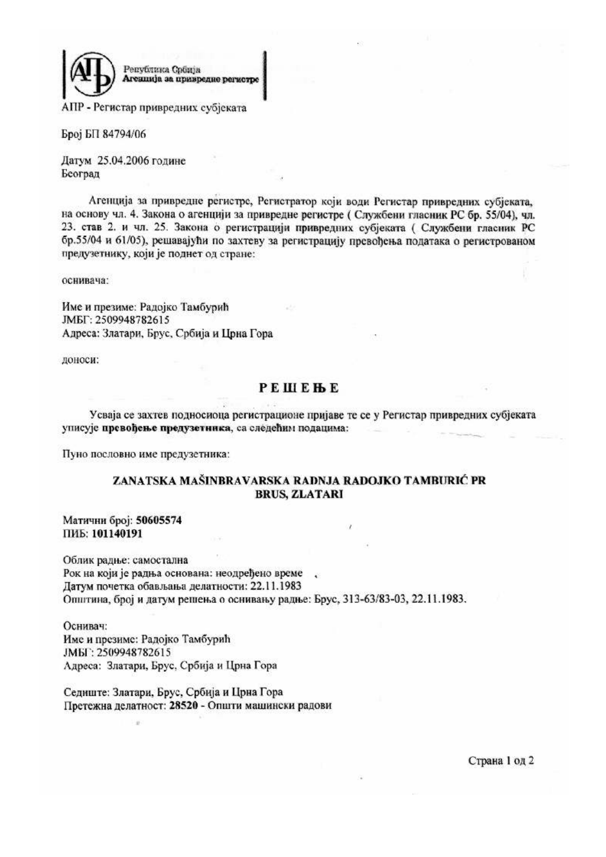

АПР - Регистар привредних субјеката

Број БП 84794/06

Датум 25.04.2006 године Београд

Агенција за привредне регистре, Регистратор који води Регистар привредних субјеката, на основу чл. 4. Закона о агенцији за привредне регистре (Службени гласник РС бр. 55/04), чл. 23. став 2. и чл. 25. Закона о регистрацији привредних субјеката (Службени гласник РС бр.55/04 и 61/05), решавајући по захтеву за регистрацију превођења података о регистрованом предузетнику, који је поднет од стране:

оснивача:

Име и презиме: Радојко Тамбурић JMEF: 2509948782615 Адреса: Златари, Брус, Србија и Црна Гора

доноси:

# **PEILEHE**

Усваја се захтев подносиоца регистрационе пријаве те се у Регистар привредних субјеката уписује превођење предузетника, са следећим подацима:

Пуно пословно име предузетника:

#### ZANATSKA MAŠINBRAVARSKA RADNJA RADOJKO TAMBURIĆ PR **BRUS, ZLATARI**

Матични број: 50605574 ПИБ: 101140191

Облик радње: самостална Рок на који је радња основана: неодређено време, Датум почетка обављања делатности: 22.11.1983 Општина, број и датум решења о оснивању радње: Брус, 313-63/83-03, 22.11.1983.

Оснивач: Име и презиме: Радојко Тамбурић JMEF: 2509948782615 Адреса: Златари, Брус, Србија и Црна Гора

Седиште: Златари, Брус, Србија и Црна Гора Претежна делатност: 28520 - Општи машински радови

Страна 1 од 2